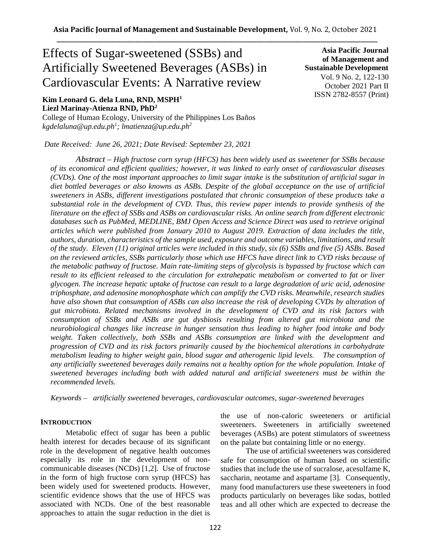# Effects of Sugar-sweetened (SSBs) and Artificially Sweetened Beverages (ASBs) in Cardiovascular Events: A Narrative review

# **Kim Leonard G. dela Luna, RND, MSPH<sup>1</sup> Liezl Marinay-Atienza RND, PhD<sup>2</sup>**

College of Human Ecology, University of the Philippines Los Baños *kgdelaluna@up.edu.ph<sup>1</sup> ; lmatienza@up.edu.ph<sup>2</sup>*

*Date Received: June 26, 2021; Date Revised: September 23, 2021*

**Asia Pacific Journal of Management and Sustainable Development**  Vol. 9 No. 2, 122-130 October 2021 Part II ISSN 2782-8557 (Print)

*Abstract – High fructose corn syrup (HFCS) has been widely used as sweetener for SSBs because of its economical and efficient qualities; however, it was linked to early onset of cardiovascular diseases (CVDs). One of the most important approaches to limit sugar intake is the substitution of artificial sugar in diet bottled beverages or also knowns as ASBs. Despite of the global acceptance on the use of artificial sweeteners in ASBs, different investigations postulated that chronic consumption of these products take a substantial role in the development of CVD. Thus, this review paper intends to provide synthesis of the literature on the effect of SSBs and ASBs on cardiovascular risks. An online search from different electronic databases such as PubMed, MEDLINE, BMJ Open Access and Science Direct was used to retrieve original articles which were published from January 2010 to August 2019. Extraction of data includes the title, authors, duration, characteristics of the sample used, exposure and outcome variables, limitations, and result of the study. Eleven (11) original articles were included in this study, six (6) SSBs and five (5) ASBs. Based on the reviewed articles, SSBs particularly those which use HFCS have direct link to CVD risks because of the metabolic pathway of fructose. Main rate-limiting steps of glycolysis is bypassed by fructose which can result to its efficient released to the circulation for extrahepatic metabolism or converted to fat or liver glycogen. The increase hepatic uptake of fructose can result to a large degradation of uric acid, adenosine triphosphate, and adenosine monophosphate which can amplify the CVD risks. Meanwhile, research studies have also shown that consumption of ASBs can also increase the risk of developing CVDs by alteration of gut microbiota. Related mechanisms involved in the development of CVD and its risk factors with consumption of SSBs and ASBs are gut dysbiosis resulting from altered gut microbiota and the neurobiological changes like increase in hunger sensation thus leading to higher food intake and body weight. Taken collectively, both SSBs and ASBs consumption are linked with the development and progression of CVD and its risk factors primarily caused by the biochemical alterations in carbohydrate metabolism leading to higher weight gain, blood sugar and atherogenic lipid levels. The consumption of any artificially sweetened beverages daily remains not a healthy option for the whole population. Intake of sweetened beverages including both with added natural and artificial sweeteners must be within the recommended levels.* 

*Keywords – artificially sweetened beverages, cardiovascular outcomes, sugar-sweetened beverages*

## **INTRODUCTION**

Metabolic effect of sugar has been a public health interest for decades because of its significant role in the development of negative health outcomes especially its role in the development of noncommunicable diseases (NCDs) [1,2]. Use of fructose in the form of high fructose corn syrup (HFCS) has been widely used for sweetened products. However, scientific evidence shows that the use of HFCS was associated with NCDs. One of the best reasonable approaches to attain the sugar reduction in the diet is the use of non-caloric sweeteners or artificial sweeteners. Sweeteners in artificially sweetened beverages (ASBs) are potent stimulators of sweetness on the palate but containing little or no energy.

The use of artificial sweeteners was considered safe for consumption of human based on scientific studies that include the use of sucralose, acesulfame K, saccharin, neotame and aspartame [3]. Consequently, many food manufacturers use these sweeteners in food products particularly on beverages like sodas, bottled teas and all other which are expected to decrease the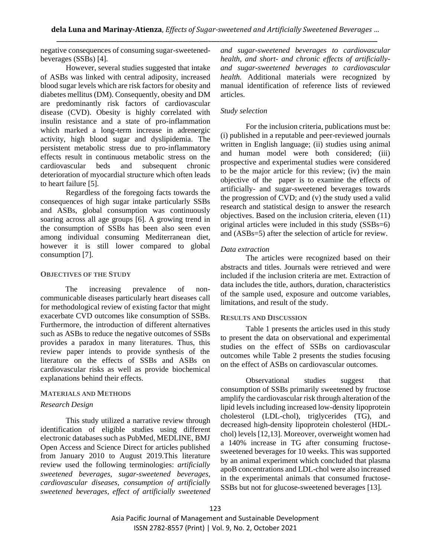negative consequences of consuming sugar-sweetenedbeverages (SSBs) [4].

However, several studies suggested that intake of ASBs was linked with central adiposity, increased blood sugar levels which are risk factors for obesity and diabetes mellitus (DM). Consequently, obesity and DM are predominantly risk factors of cardiovascular disease (CVD). Obesity is highly correlated with insulin resistance and a state of pro-inflammation which marked a long-term increase in adrenergic activity, high blood sugar and dyslipidemia. The persistent metabolic stress due to pro-inflammatory effects result in continuous metabolic stress on the cardiovascular beds and subsequent chronic deterioration of myocardial structure which often leads to heart failure [5].

Regardless of the foregoing facts towards the consequences of high sugar intake particularly SSBs and ASBs, global consumption was continuously soaring across all age groups [6]. A growing trend in the consumption of SSBs has been also seen even among individual consuming Mediterranean diet, however it is still lower compared to global consumption [7].

#### **OBJECTIVES OF THE STUDY**

The increasing prevalence of noncommunicable diseases particularly heart diseases call for methodological review of existing factor that might exacerbate CVD outcomes like consumption of SSBs. Furthermore, the introduction of different alternatives such as ASBs to reduce the negative outcomes of SSBs provides a paradox in many literatures. Thus, this review paper intends to provide synthesis of the literature on the effects of SSBs and ASBs on cardiovascular risks as well as provide biochemical explanations behind their effects.

#### **MATERIALS AND METHODS**

#### *Research Design*

This study utilized a narrative review through identification of eligible studies using different electronic databases such as PubMed, MEDLINE, BMJ Open Access and Science Direct for articles published from January 2010 to August 2019.This literature review used the following terminologies: *artificially sweetened beverages, sugar-sweetened beverages, cardiovascular diseases, consumption of artificially sweetened beverages, effect of artificially sweetened*  *and sugar-sweetened beverages to cardiovascular health, and short- and chronic effects of artificiallyand sugar-sweetened beverages to cardiovascular health.* Additional materials were recognized by manual identification of reference lists of reviewed articles.

#### *Study selection*

For the inclusion criteria, publications must be: (i) published in a reputable and peer-reviewed journals written in English language; (ii) studies using animal and human model were both considered; (iii) prospective and experimental studies were considered to be the major article for this review; (iv) the main objective of the paper is to examine the effects of artificially- and sugar-sweetened beverages towards the progression of CVD; and (v) the study used a valid research and statistical design to answer the research objectives. Based on the inclusion criteria, eleven (11) original articles were included in this study (SSBs=6) and (ASBs=5) after the selection of article for review.

#### *Data extraction*

The articles were recognized based on their abstracts and titles. Journals were retrieved and were included if the inclusion criteria are met. Extraction of data includes the title, authors, duration, characteristics of the sample used, exposure and outcome variables, limitations, and result of the study.

#### **RESULTS AND DISCUSSION**

Table 1 presents the articles used in this study to present the data on observational and experimental studies on the effect of SSBs on cardiovascular outcomes while Table 2 presents the studies focusing on the effect of ASBs on cardiovascular outcomes.

Observational studies suggest that consumption of SSBs primarily sweetened by fructose amplify the cardiovascular risk through alteration of the lipid levels including increased low-density lipoprotein cholesterol (LDL-chol), triglycerides (TG), and decreased high-density lipoprotein cholesterol (HDLchol) levels [12,13]. Moreover, overweight women had a 140% increase in TG after consuming fructosesweetened beverages for 10 weeks. This was supported by an animal experiment which concluded that plasma apoB concentrations and LDL-chol were also increased in the experimental animals that consumed fructose-SSBs but not for glucose-sweetened beverages [13].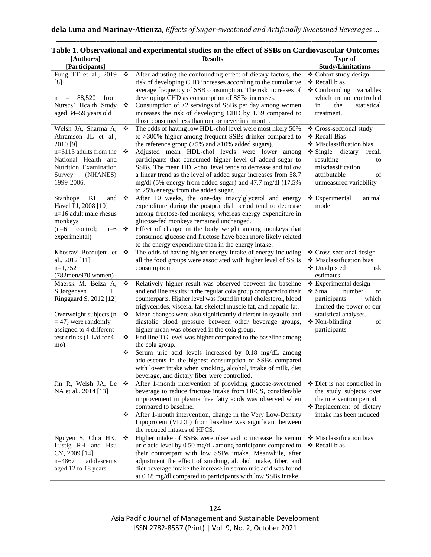| [Participants]<br><b>Study/Limitations</b><br>After adjusting the confounding effect of dietary factors, the<br>Fung TT et al., 2019<br>❖<br>❖ Cohort study design<br>risk of developing CHD increases according to the cumulative<br>❖ Recall bias<br>[8]<br>average frequency of SSB consumption. The risk increases of<br>❖ Confounding variables<br>developing CHD as consumption of SSBs increases.<br>which are not controlled<br>88,520<br>from<br>n<br>Nurses' Health Study<br>Consumption of $>2$ servings of SSBs per day among women<br>❖<br>in<br>the<br>statistical<br>aged 34-59 years old<br>increases the risk of developing CHD by 1.39 compared to<br>treatment.<br>those consumed less than one or never in a month.<br>Welsh JA, Sharma A,<br>The odds of having low HDL-chol level were most likely 50%<br>❖<br>❖ Cross-sectional study<br>to >300% higher among frequent SSBs drinker compared to<br>Abramson JL et al.,<br>❖ Recall Bias<br>the reference group $(>5\%$ and $>10\%$ added sugars).<br>❖ Misclassification bias<br>2010 [9]<br>Adjusted mean HDL-chol levels were lower among<br>$n=6113$ adults from the<br>$\div$ Single dietary<br>❖<br>recall<br>National Health and<br>participants that consumed higher level of added sugar to<br>resulting<br>to<br>misclassification<br>Nutrition Examination<br>SSBs. The mean HDL-chol level tends to decrease and follow<br>a linear trend as the level of added sugar increases from 58.7<br>attributable<br>(NHANES)<br>Survey<br>of<br>1999-2006.<br>mg/dl (5% energy from added sugar) and 47.7 mg/dl (17.5%<br>unmeasured variability<br>to 25% energy from the added sugar.<br>After 10 weeks, the one-day triacylglycerol and energy<br>٠<br>❖ Experimental<br>Stanhope<br>KL<br>and<br>animal<br>Havel PJ, 2008 [10]<br>expenditure during the postprandial period tend to decrease<br>model<br>among fructose-fed monkeys, whereas energy expenditure in<br>$n=16$ adult male rhesus<br>glucose-fed monkeys remained unchanged.<br>monkeys<br>$(n=6$ control;<br>Effect of change in the body weight among monkeys that<br>$n=6$<br>❖<br>consumed glucose and fructose have been more likely related<br>experimental)<br>to the energy expenditure than in the energy intake.<br>The odds of having higher energy intake of energy including<br>Khosravi-Boroujeni et<br>❖ Cross-sectional design<br>❖<br>all the food groups were associated with higher level of SSBs<br>❖ Misclassification bias<br>al., 2012 [11]<br>$n=1,752$<br>consumption.<br>❖ Unadjusted<br>risk<br>$(782$ men/970 women)<br>estimates<br>Maersk M, Belza A,<br>❖<br>Relatively higher result was observed between the baseline<br>❖ Experimental design<br>❖ Small<br>S.Jørgensen<br>and end line results in the regular cola group compared to their<br>number<br>of<br>Н,<br>counterparts. Higher level was found in total cholesterol, blood<br>Ringgaard S, 2012 [12]<br>participants<br>which<br>triglycerides, visceral fat, skeletal muscle fat, and hepatic fat.<br>limited the power of our<br>Mean changes were also significantly different in systolic and<br>Overweight subjects (n<br>statistical analyses.<br>❖<br>$=$ 47) were randomly<br>❖ Non-blinding<br>diastolic blood pressure between other beverage groups,<br>of<br>assigned to 4 different<br>higher mean was observed in the cola group.<br>participants<br>test drinks (1 L/d for 6<br>End line TG level was higher compared to the baseline among<br>❖<br>the cola group.<br>mo)<br>Serum uric acid levels increased by 0.18 mg/dL among<br>❖<br>adolescents in the highest consumption of SSBs compared<br>with lower intake when smoking, alcohol, intake of milk, diet<br>beverage, and dietary fiber were controlled.<br>After 1-month intervention of providing glucose-sweetened<br>Jin R, Welsh JA, Le<br>❖<br>❖ Diet is not controlled in<br>beverage to reduce fructose intake from HFCS, considerable<br>the study subjects over<br>NA et al., 2014 [13]<br>improvement in plasma free fatty acids was observed when<br>the intervention period.<br>* Replacement of dietary<br>compared to baseline.<br>After 1-month intervention, change in the Very Low-Density<br>intake has been induced.<br>❖<br>Lipoprotein (VLDL) from baseline was significant between<br>the reduced intakes of HFCS.<br>Higher intake of SSBs were observed to increase the serum<br>❖ Misclassification bias<br>Nguyen S, Choi HK,<br>❖ | [Author/s]        | <b>Results</b>                                               | Type of       |
|------------------------------------------------------------------------------------------------------------------------------------------------------------------------------------------------------------------------------------------------------------------------------------------------------------------------------------------------------------------------------------------------------------------------------------------------------------------------------------------------------------------------------------------------------------------------------------------------------------------------------------------------------------------------------------------------------------------------------------------------------------------------------------------------------------------------------------------------------------------------------------------------------------------------------------------------------------------------------------------------------------------------------------------------------------------------------------------------------------------------------------------------------------------------------------------------------------------------------------------------------------------------------------------------------------------------------------------------------------------------------------------------------------------------------------------------------------------------------------------------------------------------------------------------------------------------------------------------------------------------------------------------------------------------------------------------------------------------------------------------------------------------------------------------------------------------------------------------------------------------------------------------------------------------------------------------------------------------------------------------------------------------------------------------------------------------------------------------------------------------------------------------------------------------------------------------------------------------------------------------------------------------------------------------------------------------------------------------------------------------------------------------------------------------------------------------------------------------------------------------------------------------------------------------------------------------------------------------------------------------------------------------------------------------------------------------------------------------------------------------------------------------------------------------------------------------------------------------------------------------------------------------------------------------------------------------------------------------------------------------------------------------------------------------------------------------------------------------------------------------------------------------------------------------------------------------------------------------------------------------------------------------------------------------------------------------------------------------------------------------------------------------------------------------------------------------------------------------------------------------------------------------------------------------------------------------------------------------------------------------------------------------------------------------------------------------------------------------------------------------------------------------------------------------------------------------------------------------------------------------------------------------------------------------------------------------------------------------------------------------------------------------------------------------------------------------------------------------------------------------------------------------------------------------------------------------------------------------------------------------------------------------------------------------------------------------------------------------------------------------------------------------------------------------------------------------------------------------------------|-------------------|--------------------------------------------------------------|---------------|
|                                                                                                                                                                                                                                                                                                                                                                                                                                                                                                                                                                                                                                                                                                                                                                                                                                                                                                                                                                                                                                                                                                                                                                                                                                                                                                                                                                                                                                                                                                                                                                                                                                                                                                                                                                                                                                                                                                                                                                                                                                                                                                                                                                                                                                                                                                                                                                                                                                                                                                                                                                                                                                                                                                                                                                                                                                                                                                                                                                                                                                                                                                                                                                                                                                                                                                                                                                                                                                                                                                                                                                                                                                                                                                                                                                                                                                                                                                                                                                                                                                                                                                                                                                                                                                                                                                                                                                                                                                                                                    |                   |                                                              |               |
|                                                                                                                                                                                                                                                                                                                                                                                                                                                                                                                                                                                                                                                                                                                                                                                                                                                                                                                                                                                                                                                                                                                                                                                                                                                                                                                                                                                                                                                                                                                                                                                                                                                                                                                                                                                                                                                                                                                                                                                                                                                                                                                                                                                                                                                                                                                                                                                                                                                                                                                                                                                                                                                                                                                                                                                                                                                                                                                                                                                                                                                                                                                                                                                                                                                                                                                                                                                                                                                                                                                                                                                                                                                                                                                                                                                                                                                                                                                                                                                                                                                                                                                                                                                                                                                                                                                                                                                                                                                                                    |                   |                                                              |               |
|                                                                                                                                                                                                                                                                                                                                                                                                                                                                                                                                                                                                                                                                                                                                                                                                                                                                                                                                                                                                                                                                                                                                                                                                                                                                                                                                                                                                                                                                                                                                                                                                                                                                                                                                                                                                                                                                                                                                                                                                                                                                                                                                                                                                                                                                                                                                                                                                                                                                                                                                                                                                                                                                                                                                                                                                                                                                                                                                                                                                                                                                                                                                                                                                                                                                                                                                                                                                                                                                                                                                                                                                                                                                                                                                                                                                                                                                                                                                                                                                                                                                                                                                                                                                                                                                                                                                                                                                                                                                                    |                   |                                                              |               |
|                                                                                                                                                                                                                                                                                                                                                                                                                                                                                                                                                                                                                                                                                                                                                                                                                                                                                                                                                                                                                                                                                                                                                                                                                                                                                                                                                                                                                                                                                                                                                                                                                                                                                                                                                                                                                                                                                                                                                                                                                                                                                                                                                                                                                                                                                                                                                                                                                                                                                                                                                                                                                                                                                                                                                                                                                                                                                                                                                                                                                                                                                                                                                                                                                                                                                                                                                                                                                                                                                                                                                                                                                                                                                                                                                                                                                                                                                                                                                                                                                                                                                                                                                                                                                                                                                                                                                                                                                                                                                    |                   |                                                              |               |
|                                                                                                                                                                                                                                                                                                                                                                                                                                                                                                                                                                                                                                                                                                                                                                                                                                                                                                                                                                                                                                                                                                                                                                                                                                                                                                                                                                                                                                                                                                                                                                                                                                                                                                                                                                                                                                                                                                                                                                                                                                                                                                                                                                                                                                                                                                                                                                                                                                                                                                                                                                                                                                                                                                                                                                                                                                                                                                                                                                                                                                                                                                                                                                                                                                                                                                                                                                                                                                                                                                                                                                                                                                                                                                                                                                                                                                                                                                                                                                                                                                                                                                                                                                                                                                                                                                                                                                                                                                                                                    |                   |                                                              |               |
|                                                                                                                                                                                                                                                                                                                                                                                                                                                                                                                                                                                                                                                                                                                                                                                                                                                                                                                                                                                                                                                                                                                                                                                                                                                                                                                                                                                                                                                                                                                                                                                                                                                                                                                                                                                                                                                                                                                                                                                                                                                                                                                                                                                                                                                                                                                                                                                                                                                                                                                                                                                                                                                                                                                                                                                                                                                                                                                                                                                                                                                                                                                                                                                                                                                                                                                                                                                                                                                                                                                                                                                                                                                                                                                                                                                                                                                                                                                                                                                                                                                                                                                                                                                                                                                                                                                                                                                                                                                                                    |                   |                                                              |               |
|                                                                                                                                                                                                                                                                                                                                                                                                                                                                                                                                                                                                                                                                                                                                                                                                                                                                                                                                                                                                                                                                                                                                                                                                                                                                                                                                                                                                                                                                                                                                                                                                                                                                                                                                                                                                                                                                                                                                                                                                                                                                                                                                                                                                                                                                                                                                                                                                                                                                                                                                                                                                                                                                                                                                                                                                                                                                                                                                                                                                                                                                                                                                                                                                                                                                                                                                                                                                                                                                                                                                                                                                                                                                                                                                                                                                                                                                                                                                                                                                                                                                                                                                                                                                                                                                                                                                                                                                                                                                                    |                   |                                                              |               |
|                                                                                                                                                                                                                                                                                                                                                                                                                                                                                                                                                                                                                                                                                                                                                                                                                                                                                                                                                                                                                                                                                                                                                                                                                                                                                                                                                                                                                                                                                                                                                                                                                                                                                                                                                                                                                                                                                                                                                                                                                                                                                                                                                                                                                                                                                                                                                                                                                                                                                                                                                                                                                                                                                                                                                                                                                                                                                                                                                                                                                                                                                                                                                                                                                                                                                                                                                                                                                                                                                                                                                                                                                                                                                                                                                                                                                                                                                                                                                                                                                                                                                                                                                                                                                                                                                                                                                                                                                                                                                    |                   |                                                              |               |
|                                                                                                                                                                                                                                                                                                                                                                                                                                                                                                                                                                                                                                                                                                                                                                                                                                                                                                                                                                                                                                                                                                                                                                                                                                                                                                                                                                                                                                                                                                                                                                                                                                                                                                                                                                                                                                                                                                                                                                                                                                                                                                                                                                                                                                                                                                                                                                                                                                                                                                                                                                                                                                                                                                                                                                                                                                                                                                                                                                                                                                                                                                                                                                                                                                                                                                                                                                                                                                                                                                                                                                                                                                                                                                                                                                                                                                                                                                                                                                                                                                                                                                                                                                                                                                                                                                                                                                                                                                                                                    |                   |                                                              |               |
|                                                                                                                                                                                                                                                                                                                                                                                                                                                                                                                                                                                                                                                                                                                                                                                                                                                                                                                                                                                                                                                                                                                                                                                                                                                                                                                                                                                                                                                                                                                                                                                                                                                                                                                                                                                                                                                                                                                                                                                                                                                                                                                                                                                                                                                                                                                                                                                                                                                                                                                                                                                                                                                                                                                                                                                                                                                                                                                                                                                                                                                                                                                                                                                                                                                                                                                                                                                                                                                                                                                                                                                                                                                                                                                                                                                                                                                                                                                                                                                                                                                                                                                                                                                                                                                                                                                                                                                                                                                                                    |                   |                                                              |               |
|                                                                                                                                                                                                                                                                                                                                                                                                                                                                                                                                                                                                                                                                                                                                                                                                                                                                                                                                                                                                                                                                                                                                                                                                                                                                                                                                                                                                                                                                                                                                                                                                                                                                                                                                                                                                                                                                                                                                                                                                                                                                                                                                                                                                                                                                                                                                                                                                                                                                                                                                                                                                                                                                                                                                                                                                                                                                                                                                                                                                                                                                                                                                                                                                                                                                                                                                                                                                                                                                                                                                                                                                                                                                                                                                                                                                                                                                                                                                                                                                                                                                                                                                                                                                                                                                                                                                                                                                                                                                                    |                   |                                                              |               |
|                                                                                                                                                                                                                                                                                                                                                                                                                                                                                                                                                                                                                                                                                                                                                                                                                                                                                                                                                                                                                                                                                                                                                                                                                                                                                                                                                                                                                                                                                                                                                                                                                                                                                                                                                                                                                                                                                                                                                                                                                                                                                                                                                                                                                                                                                                                                                                                                                                                                                                                                                                                                                                                                                                                                                                                                                                                                                                                                                                                                                                                                                                                                                                                                                                                                                                                                                                                                                                                                                                                                                                                                                                                                                                                                                                                                                                                                                                                                                                                                                                                                                                                                                                                                                                                                                                                                                                                                                                                                                    |                   |                                                              |               |
|                                                                                                                                                                                                                                                                                                                                                                                                                                                                                                                                                                                                                                                                                                                                                                                                                                                                                                                                                                                                                                                                                                                                                                                                                                                                                                                                                                                                                                                                                                                                                                                                                                                                                                                                                                                                                                                                                                                                                                                                                                                                                                                                                                                                                                                                                                                                                                                                                                                                                                                                                                                                                                                                                                                                                                                                                                                                                                                                                                                                                                                                                                                                                                                                                                                                                                                                                                                                                                                                                                                                                                                                                                                                                                                                                                                                                                                                                                                                                                                                                                                                                                                                                                                                                                                                                                                                                                                                                                                                                    |                   |                                                              |               |
|                                                                                                                                                                                                                                                                                                                                                                                                                                                                                                                                                                                                                                                                                                                                                                                                                                                                                                                                                                                                                                                                                                                                                                                                                                                                                                                                                                                                                                                                                                                                                                                                                                                                                                                                                                                                                                                                                                                                                                                                                                                                                                                                                                                                                                                                                                                                                                                                                                                                                                                                                                                                                                                                                                                                                                                                                                                                                                                                                                                                                                                                                                                                                                                                                                                                                                                                                                                                                                                                                                                                                                                                                                                                                                                                                                                                                                                                                                                                                                                                                                                                                                                                                                                                                                                                                                                                                                                                                                                                                    |                   |                                                              |               |
|                                                                                                                                                                                                                                                                                                                                                                                                                                                                                                                                                                                                                                                                                                                                                                                                                                                                                                                                                                                                                                                                                                                                                                                                                                                                                                                                                                                                                                                                                                                                                                                                                                                                                                                                                                                                                                                                                                                                                                                                                                                                                                                                                                                                                                                                                                                                                                                                                                                                                                                                                                                                                                                                                                                                                                                                                                                                                                                                                                                                                                                                                                                                                                                                                                                                                                                                                                                                                                                                                                                                                                                                                                                                                                                                                                                                                                                                                                                                                                                                                                                                                                                                                                                                                                                                                                                                                                                                                                                                                    |                   |                                                              |               |
|                                                                                                                                                                                                                                                                                                                                                                                                                                                                                                                                                                                                                                                                                                                                                                                                                                                                                                                                                                                                                                                                                                                                                                                                                                                                                                                                                                                                                                                                                                                                                                                                                                                                                                                                                                                                                                                                                                                                                                                                                                                                                                                                                                                                                                                                                                                                                                                                                                                                                                                                                                                                                                                                                                                                                                                                                                                                                                                                                                                                                                                                                                                                                                                                                                                                                                                                                                                                                                                                                                                                                                                                                                                                                                                                                                                                                                                                                                                                                                                                                                                                                                                                                                                                                                                                                                                                                                                                                                                                                    |                   |                                                              |               |
|                                                                                                                                                                                                                                                                                                                                                                                                                                                                                                                                                                                                                                                                                                                                                                                                                                                                                                                                                                                                                                                                                                                                                                                                                                                                                                                                                                                                                                                                                                                                                                                                                                                                                                                                                                                                                                                                                                                                                                                                                                                                                                                                                                                                                                                                                                                                                                                                                                                                                                                                                                                                                                                                                                                                                                                                                                                                                                                                                                                                                                                                                                                                                                                                                                                                                                                                                                                                                                                                                                                                                                                                                                                                                                                                                                                                                                                                                                                                                                                                                                                                                                                                                                                                                                                                                                                                                                                                                                                                                    |                   |                                                              |               |
|                                                                                                                                                                                                                                                                                                                                                                                                                                                                                                                                                                                                                                                                                                                                                                                                                                                                                                                                                                                                                                                                                                                                                                                                                                                                                                                                                                                                                                                                                                                                                                                                                                                                                                                                                                                                                                                                                                                                                                                                                                                                                                                                                                                                                                                                                                                                                                                                                                                                                                                                                                                                                                                                                                                                                                                                                                                                                                                                                                                                                                                                                                                                                                                                                                                                                                                                                                                                                                                                                                                                                                                                                                                                                                                                                                                                                                                                                                                                                                                                                                                                                                                                                                                                                                                                                                                                                                                                                                                                                    |                   |                                                              |               |
|                                                                                                                                                                                                                                                                                                                                                                                                                                                                                                                                                                                                                                                                                                                                                                                                                                                                                                                                                                                                                                                                                                                                                                                                                                                                                                                                                                                                                                                                                                                                                                                                                                                                                                                                                                                                                                                                                                                                                                                                                                                                                                                                                                                                                                                                                                                                                                                                                                                                                                                                                                                                                                                                                                                                                                                                                                                                                                                                                                                                                                                                                                                                                                                                                                                                                                                                                                                                                                                                                                                                                                                                                                                                                                                                                                                                                                                                                                                                                                                                                                                                                                                                                                                                                                                                                                                                                                                                                                                                                    |                   |                                                              |               |
|                                                                                                                                                                                                                                                                                                                                                                                                                                                                                                                                                                                                                                                                                                                                                                                                                                                                                                                                                                                                                                                                                                                                                                                                                                                                                                                                                                                                                                                                                                                                                                                                                                                                                                                                                                                                                                                                                                                                                                                                                                                                                                                                                                                                                                                                                                                                                                                                                                                                                                                                                                                                                                                                                                                                                                                                                                                                                                                                                                                                                                                                                                                                                                                                                                                                                                                                                                                                                                                                                                                                                                                                                                                                                                                                                                                                                                                                                                                                                                                                                                                                                                                                                                                                                                                                                                                                                                                                                                                                                    |                   |                                                              |               |
|                                                                                                                                                                                                                                                                                                                                                                                                                                                                                                                                                                                                                                                                                                                                                                                                                                                                                                                                                                                                                                                                                                                                                                                                                                                                                                                                                                                                                                                                                                                                                                                                                                                                                                                                                                                                                                                                                                                                                                                                                                                                                                                                                                                                                                                                                                                                                                                                                                                                                                                                                                                                                                                                                                                                                                                                                                                                                                                                                                                                                                                                                                                                                                                                                                                                                                                                                                                                                                                                                                                                                                                                                                                                                                                                                                                                                                                                                                                                                                                                                                                                                                                                                                                                                                                                                                                                                                                                                                                                                    |                   |                                                              |               |
|                                                                                                                                                                                                                                                                                                                                                                                                                                                                                                                                                                                                                                                                                                                                                                                                                                                                                                                                                                                                                                                                                                                                                                                                                                                                                                                                                                                                                                                                                                                                                                                                                                                                                                                                                                                                                                                                                                                                                                                                                                                                                                                                                                                                                                                                                                                                                                                                                                                                                                                                                                                                                                                                                                                                                                                                                                                                                                                                                                                                                                                                                                                                                                                                                                                                                                                                                                                                                                                                                                                                                                                                                                                                                                                                                                                                                                                                                                                                                                                                                                                                                                                                                                                                                                                                                                                                                                                                                                                                                    |                   |                                                              |               |
|                                                                                                                                                                                                                                                                                                                                                                                                                                                                                                                                                                                                                                                                                                                                                                                                                                                                                                                                                                                                                                                                                                                                                                                                                                                                                                                                                                                                                                                                                                                                                                                                                                                                                                                                                                                                                                                                                                                                                                                                                                                                                                                                                                                                                                                                                                                                                                                                                                                                                                                                                                                                                                                                                                                                                                                                                                                                                                                                                                                                                                                                                                                                                                                                                                                                                                                                                                                                                                                                                                                                                                                                                                                                                                                                                                                                                                                                                                                                                                                                                                                                                                                                                                                                                                                                                                                                                                                                                                                                                    |                   |                                                              |               |
|                                                                                                                                                                                                                                                                                                                                                                                                                                                                                                                                                                                                                                                                                                                                                                                                                                                                                                                                                                                                                                                                                                                                                                                                                                                                                                                                                                                                                                                                                                                                                                                                                                                                                                                                                                                                                                                                                                                                                                                                                                                                                                                                                                                                                                                                                                                                                                                                                                                                                                                                                                                                                                                                                                                                                                                                                                                                                                                                                                                                                                                                                                                                                                                                                                                                                                                                                                                                                                                                                                                                                                                                                                                                                                                                                                                                                                                                                                                                                                                                                                                                                                                                                                                                                                                                                                                                                                                                                                                                                    |                   |                                                              |               |
|                                                                                                                                                                                                                                                                                                                                                                                                                                                                                                                                                                                                                                                                                                                                                                                                                                                                                                                                                                                                                                                                                                                                                                                                                                                                                                                                                                                                                                                                                                                                                                                                                                                                                                                                                                                                                                                                                                                                                                                                                                                                                                                                                                                                                                                                                                                                                                                                                                                                                                                                                                                                                                                                                                                                                                                                                                                                                                                                                                                                                                                                                                                                                                                                                                                                                                                                                                                                                                                                                                                                                                                                                                                                                                                                                                                                                                                                                                                                                                                                                                                                                                                                                                                                                                                                                                                                                                                                                                                                                    |                   |                                                              |               |
|                                                                                                                                                                                                                                                                                                                                                                                                                                                                                                                                                                                                                                                                                                                                                                                                                                                                                                                                                                                                                                                                                                                                                                                                                                                                                                                                                                                                                                                                                                                                                                                                                                                                                                                                                                                                                                                                                                                                                                                                                                                                                                                                                                                                                                                                                                                                                                                                                                                                                                                                                                                                                                                                                                                                                                                                                                                                                                                                                                                                                                                                                                                                                                                                                                                                                                                                                                                                                                                                                                                                                                                                                                                                                                                                                                                                                                                                                                                                                                                                                                                                                                                                                                                                                                                                                                                                                                                                                                                                                    |                   |                                                              |               |
|                                                                                                                                                                                                                                                                                                                                                                                                                                                                                                                                                                                                                                                                                                                                                                                                                                                                                                                                                                                                                                                                                                                                                                                                                                                                                                                                                                                                                                                                                                                                                                                                                                                                                                                                                                                                                                                                                                                                                                                                                                                                                                                                                                                                                                                                                                                                                                                                                                                                                                                                                                                                                                                                                                                                                                                                                                                                                                                                                                                                                                                                                                                                                                                                                                                                                                                                                                                                                                                                                                                                                                                                                                                                                                                                                                                                                                                                                                                                                                                                                                                                                                                                                                                                                                                                                                                                                                                                                                                                                    |                   |                                                              |               |
|                                                                                                                                                                                                                                                                                                                                                                                                                                                                                                                                                                                                                                                                                                                                                                                                                                                                                                                                                                                                                                                                                                                                                                                                                                                                                                                                                                                                                                                                                                                                                                                                                                                                                                                                                                                                                                                                                                                                                                                                                                                                                                                                                                                                                                                                                                                                                                                                                                                                                                                                                                                                                                                                                                                                                                                                                                                                                                                                                                                                                                                                                                                                                                                                                                                                                                                                                                                                                                                                                                                                                                                                                                                                                                                                                                                                                                                                                                                                                                                                                                                                                                                                                                                                                                                                                                                                                                                                                                                                                    |                   |                                                              |               |
|                                                                                                                                                                                                                                                                                                                                                                                                                                                                                                                                                                                                                                                                                                                                                                                                                                                                                                                                                                                                                                                                                                                                                                                                                                                                                                                                                                                                                                                                                                                                                                                                                                                                                                                                                                                                                                                                                                                                                                                                                                                                                                                                                                                                                                                                                                                                                                                                                                                                                                                                                                                                                                                                                                                                                                                                                                                                                                                                                                                                                                                                                                                                                                                                                                                                                                                                                                                                                                                                                                                                                                                                                                                                                                                                                                                                                                                                                                                                                                                                                                                                                                                                                                                                                                                                                                                                                                                                                                                                                    |                   |                                                              |               |
|                                                                                                                                                                                                                                                                                                                                                                                                                                                                                                                                                                                                                                                                                                                                                                                                                                                                                                                                                                                                                                                                                                                                                                                                                                                                                                                                                                                                                                                                                                                                                                                                                                                                                                                                                                                                                                                                                                                                                                                                                                                                                                                                                                                                                                                                                                                                                                                                                                                                                                                                                                                                                                                                                                                                                                                                                                                                                                                                                                                                                                                                                                                                                                                                                                                                                                                                                                                                                                                                                                                                                                                                                                                                                                                                                                                                                                                                                                                                                                                                                                                                                                                                                                                                                                                                                                                                                                                                                                                                                    |                   |                                                              |               |
|                                                                                                                                                                                                                                                                                                                                                                                                                                                                                                                                                                                                                                                                                                                                                                                                                                                                                                                                                                                                                                                                                                                                                                                                                                                                                                                                                                                                                                                                                                                                                                                                                                                                                                                                                                                                                                                                                                                                                                                                                                                                                                                                                                                                                                                                                                                                                                                                                                                                                                                                                                                                                                                                                                                                                                                                                                                                                                                                                                                                                                                                                                                                                                                                                                                                                                                                                                                                                                                                                                                                                                                                                                                                                                                                                                                                                                                                                                                                                                                                                                                                                                                                                                                                                                                                                                                                                                                                                                                                                    |                   |                                                              |               |
|                                                                                                                                                                                                                                                                                                                                                                                                                                                                                                                                                                                                                                                                                                                                                                                                                                                                                                                                                                                                                                                                                                                                                                                                                                                                                                                                                                                                                                                                                                                                                                                                                                                                                                                                                                                                                                                                                                                                                                                                                                                                                                                                                                                                                                                                                                                                                                                                                                                                                                                                                                                                                                                                                                                                                                                                                                                                                                                                                                                                                                                                                                                                                                                                                                                                                                                                                                                                                                                                                                                                                                                                                                                                                                                                                                                                                                                                                                                                                                                                                                                                                                                                                                                                                                                                                                                                                                                                                                                                                    |                   |                                                              |               |
|                                                                                                                                                                                                                                                                                                                                                                                                                                                                                                                                                                                                                                                                                                                                                                                                                                                                                                                                                                                                                                                                                                                                                                                                                                                                                                                                                                                                                                                                                                                                                                                                                                                                                                                                                                                                                                                                                                                                                                                                                                                                                                                                                                                                                                                                                                                                                                                                                                                                                                                                                                                                                                                                                                                                                                                                                                                                                                                                                                                                                                                                                                                                                                                                                                                                                                                                                                                                                                                                                                                                                                                                                                                                                                                                                                                                                                                                                                                                                                                                                                                                                                                                                                                                                                                                                                                                                                                                                                                                                    |                   |                                                              |               |
|                                                                                                                                                                                                                                                                                                                                                                                                                                                                                                                                                                                                                                                                                                                                                                                                                                                                                                                                                                                                                                                                                                                                                                                                                                                                                                                                                                                                                                                                                                                                                                                                                                                                                                                                                                                                                                                                                                                                                                                                                                                                                                                                                                                                                                                                                                                                                                                                                                                                                                                                                                                                                                                                                                                                                                                                                                                                                                                                                                                                                                                                                                                                                                                                                                                                                                                                                                                                                                                                                                                                                                                                                                                                                                                                                                                                                                                                                                                                                                                                                                                                                                                                                                                                                                                                                                                                                                                                                                                                                    |                   |                                                              |               |
|                                                                                                                                                                                                                                                                                                                                                                                                                                                                                                                                                                                                                                                                                                                                                                                                                                                                                                                                                                                                                                                                                                                                                                                                                                                                                                                                                                                                                                                                                                                                                                                                                                                                                                                                                                                                                                                                                                                                                                                                                                                                                                                                                                                                                                                                                                                                                                                                                                                                                                                                                                                                                                                                                                                                                                                                                                                                                                                                                                                                                                                                                                                                                                                                                                                                                                                                                                                                                                                                                                                                                                                                                                                                                                                                                                                                                                                                                                                                                                                                                                                                                                                                                                                                                                                                                                                                                                                                                                                                                    |                   |                                                              |               |
|                                                                                                                                                                                                                                                                                                                                                                                                                                                                                                                                                                                                                                                                                                                                                                                                                                                                                                                                                                                                                                                                                                                                                                                                                                                                                                                                                                                                                                                                                                                                                                                                                                                                                                                                                                                                                                                                                                                                                                                                                                                                                                                                                                                                                                                                                                                                                                                                                                                                                                                                                                                                                                                                                                                                                                                                                                                                                                                                                                                                                                                                                                                                                                                                                                                                                                                                                                                                                                                                                                                                                                                                                                                                                                                                                                                                                                                                                                                                                                                                                                                                                                                                                                                                                                                                                                                                                                                                                                                                                    |                   |                                                              |               |
|                                                                                                                                                                                                                                                                                                                                                                                                                                                                                                                                                                                                                                                                                                                                                                                                                                                                                                                                                                                                                                                                                                                                                                                                                                                                                                                                                                                                                                                                                                                                                                                                                                                                                                                                                                                                                                                                                                                                                                                                                                                                                                                                                                                                                                                                                                                                                                                                                                                                                                                                                                                                                                                                                                                                                                                                                                                                                                                                                                                                                                                                                                                                                                                                                                                                                                                                                                                                                                                                                                                                                                                                                                                                                                                                                                                                                                                                                                                                                                                                                                                                                                                                                                                                                                                                                                                                                                                                                                                                                    |                   |                                                              |               |
|                                                                                                                                                                                                                                                                                                                                                                                                                                                                                                                                                                                                                                                                                                                                                                                                                                                                                                                                                                                                                                                                                                                                                                                                                                                                                                                                                                                                                                                                                                                                                                                                                                                                                                                                                                                                                                                                                                                                                                                                                                                                                                                                                                                                                                                                                                                                                                                                                                                                                                                                                                                                                                                                                                                                                                                                                                                                                                                                                                                                                                                                                                                                                                                                                                                                                                                                                                                                                                                                                                                                                                                                                                                                                                                                                                                                                                                                                                                                                                                                                                                                                                                                                                                                                                                                                                                                                                                                                                                                                    |                   |                                                              |               |
|                                                                                                                                                                                                                                                                                                                                                                                                                                                                                                                                                                                                                                                                                                                                                                                                                                                                                                                                                                                                                                                                                                                                                                                                                                                                                                                                                                                                                                                                                                                                                                                                                                                                                                                                                                                                                                                                                                                                                                                                                                                                                                                                                                                                                                                                                                                                                                                                                                                                                                                                                                                                                                                                                                                                                                                                                                                                                                                                                                                                                                                                                                                                                                                                                                                                                                                                                                                                                                                                                                                                                                                                                                                                                                                                                                                                                                                                                                                                                                                                                                                                                                                                                                                                                                                                                                                                                                                                                                                                                    |                   |                                                              |               |
|                                                                                                                                                                                                                                                                                                                                                                                                                                                                                                                                                                                                                                                                                                                                                                                                                                                                                                                                                                                                                                                                                                                                                                                                                                                                                                                                                                                                                                                                                                                                                                                                                                                                                                                                                                                                                                                                                                                                                                                                                                                                                                                                                                                                                                                                                                                                                                                                                                                                                                                                                                                                                                                                                                                                                                                                                                                                                                                                                                                                                                                                                                                                                                                                                                                                                                                                                                                                                                                                                                                                                                                                                                                                                                                                                                                                                                                                                                                                                                                                                                                                                                                                                                                                                                                                                                                                                                                                                                                                                    |                   |                                                              |               |
|                                                                                                                                                                                                                                                                                                                                                                                                                                                                                                                                                                                                                                                                                                                                                                                                                                                                                                                                                                                                                                                                                                                                                                                                                                                                                                                                                                                                                                                                                                                                                                                                                                                                                                                                                                                                                                                                                                                                                                                                                                                                                                                                                                                                                                                                                                                                                                                                                                                                                                                                                                                                                                                                                                                                                                                                                                                                                                                                                                                                                                                                                                                                                                                                                                                                                                                                                                                                                                                                                                                                                                                                                                                                                                                                                                                                                                                                                                                                                                                                                                                                                                                                                                                                                                                                                                                                                                                                                                                                                    |                   |                                                              |               |
|                                                                                                                                                                                                                                                                                                                                                                                                                                                                                                                                                                                                                                                                                                                                                                                                                                                                                                                                                                                                                                                                                                                                                                                                                                                                                                                                                                                                                                                                                                                                                                                                                                                                                                                                                                                                                                                                                                                                                                                                                                                                                                                                                                                                                                                                                                                                                                                                                                                                                                                                                                                                                                                                                                                                                                                                                                                                                                                                                                                                                                                                                                                                                                                                                                                                                                                                                                                                                                                                                                                                                                                                                                                                                                                                                                                                                                                                                                                                                                                                                                                                                                                                                                                                                                                                                                                                                                                                                                                                                    |                   |                                                              |               |
|                                                                                                                                                                                                                                                                                                                                                                                                                                                                                                                                                                                                                                                                                                                                                                                                                                                                                                                                                                                                                                                                                                                                                                                                                                                                                                                                                                                                                                                                                                                                                                                                                                                                                                                                                                                                                                                                                                                                                                                                                                                                                                                                                                                                                                                                                                                                                                                                                                                                                                                                                                                                                                                                                                                                                                                                                                                                                                                                                                                                                                                                                                                                                                                                                                                                                                                                                                                                                                                                                                                                                                                                                                                                                                                                                                                                                                                                                                                                                                                                                                                                                                                                                                                                                                                                                                                                                                                                                                                                                    |                   |                                                              |               |
|                                                                                                                                                                                                                                                                                                                                                                                                                                                                                                                                                                                                                                                                                                                                                                                                                                                                                                                                                                                                                                                                                                                                                                                                                                                                                                                                                                                                                                                                                                                                                                                                                                                                                                                                                                                                                                                                                                                                                                                                                                                                                                                                                                                                                                                                                                                                                                                                                                                                                                                                                                                                                                                                                                                                                                                                                                                                                                                                                                                                                                                                                                                                                                                                                                                                                                                                                                                                                                                                                                                                                                                                                                                                                                                                                                                                                                                                                                                                                                                                                                                                                                                                                                                                                                                                                                                                                                                                                                                                                    |                   |                                                              |               |
|                                                                                                                                                                                                                                                                                                                                                                                                                                                                                                                                                                                                                                                                                                                                                                                                                                                                                                                                                                                                                                                                                                                                                                                                                                                                                                                                                                                                                                                                                                                                                                                                                                                                                                                                                                                                                                                                                                                                                                                                                                                                                                                                                                                                                                                                                                                                                                                                                                                                                                                                                                                                                                                                                                                                                                                                                                                                                                                                                                                                                                                                                                                                                                                                                                                                                                                                                                                                                                                                                                                                                                                                                                                                                                                                                                                                                                                                                                                                                                                                                                                                                                                                                                                                                                                                                                                                                                                                                                                                                    |                   |                                                              |               |
|                                                                                                                                                                                                                                                                                                                                                                                                                                                                                                                                                                                                                                                                                                                                                                                                                                                                                                                                                                                                                                                                                                                                                                                                                                                                                                                                                                                                                                                                                                                                                                                                                                                                                                                                                                                                                                                                                                                                                                                                                                                                                                                                                                                                                                                                                                                                                                                                                                                                                                                                                                                                                                                                                                                                                                                                                                                                                                                                                                                                                                                                                                                                                                                                                                                                                                                                                                                                                                                                                                                                                                                                                                                                                                                                                                                                                                                                                                                                                                                                                                                                                                                                                                                                                                                                                                                                                                                                                                                                                    |                   |                                                              |               |
|                                                                                                                                                                                                                                                                                                                                                                                                                                                                                                                                                                                                                                                                                                                                                                                                                                                                                                                                                                                                                                                                                                                                                                                                                                                                                                                                                                                                                                                                                                                                                                                                                                                                                                                                                                                                                                                                                                                                                                                                                                                                                                                                                                                                                                                                                                                                                                                                                                                                                                                                                                                                                                                                                                                                                                                                                                                                                                                                                                                                                                                                                                                                                                                                                                                                                                                                                                                                                                                                                                                                                                                                                                                                                                                                                                                                                                                                                                                                                                                                                                                                                                                                                                                                                                                                                                                                                                                                                                                                                    |                   |                                                              |               |
|                                                                                                                                                                                                                                                                                                                                                                                                                                                                                                                                                                                                                                                                                                                                                                                                                                                                                                                                                                                                                                                                                                                                                                                                                                                                                                                                                                                                                                                                                                                                                                                                                                                                                                                                                                                                                                                                                                                                                                                                                                                                                                                                                                                                                                                                                                                                                                                                                                                                                                                                                                                                                                                                                                                                                                                                                                                                                                                                                                                                                                                                                                                                                                                                                                                                                                                                                                                                                                                                                                                                                                                                                                                                                                                                                                                                                                                                                                                                                                                                                                                                                                                                                                                                                                                                                                                                                                                                                                                                                    |                   |                                                              |               |
|                                                                                                                                                                                                                                                                                                                                                                                                                                                                                                                                                                                                                                                                                                                                                                                                                                                                                                                                                                                                                                                                                                                                                                                                                                                                                                                                                                                                                                                                                                                                                                                                                                                                                                                                                                                                                                                                                                                                                                                                                                                                                                                                                                                                                                                                                                                                                                                                                                                                                                                                                                                                                                                                                                                                                                                                                                                                                                                                                                                                                                                                                                                                                                                                                                                                                                                                                                                                                                                                                                                                                                                                                                                                                                                                                                                                                                                                                                                                                                                                                                                                                                                                                                                                                                                                                                                                                                                                                                                                                    | Lustig RH and Hsu | uric acid level by 0.50 mg/dL among participants compared to | ❖ Recall bias |
| CY, 2009 [14]<br>their counterpart with low SSBs intake. Meanwhile, after                                                                                                                                                                                                                                                                                                                                                                                                                                                                                                                                                                                                                                                                                                                                                                                                                                                                                                                                                                                                                                                                                                                                                                                                                                                                                                                                                                                                                                                                                                                                                                                                                                                                                                                                                                                                                                                                                                                                                                                                                                                                                                                                                                                                                                                                                                                                                                                                                                                                                                                                                                                                                                                                                                                                                                                                                                                                                                                                                                                                                                                                                                                                                                                                                                                                                                                                                                                                                                                                                                                                                                                                                                                                                                                                                                                                                                                                                                                                                                                                                                                                                                                                                                                                                                                                                                                                                                                                          |                   |                                                              |               |
| adjustment the effect of smoking, alcohol intake, fiber, and<br>$n = 4867$<br>adolescents                                                                                                                                                                                                                                                                                                                                                                                                                                                                                                                                                                                                                                                                                                                                                                                                                                                                                                                                                                                                                                                                                                                                                                                                                                                                                                                                                                                                                                                                                                                                                                                                                                                                                                                                                                                                                                                                                                                                                                                                                                                                                                                                                                                                                                                                                                                                                                                                                                                                                                                                                                                                                                                                                                                                                                                                                                                                                                                                                                                                                                                                                                                                                                                                                                                                                                                                                                                                                                                                                                                                                                                                                                                                                                                                                                                                                                                                                                                                                                                                                                                                                                                                                                                                                                                                                                                                                                                          |                   |                                                              |               |
| diet beverage intake the increase in serum uric acid was found<br>aged 12 to 18 years                                                                                                                                                                                                                                                                                                                                                                                                                                                                                                                                                                                                                                                                                                                                                                                                                                                                                                                                                                                                                                                                                                                                                                                                                                                                                                                                                                                                                                                                                                                                                                                                                                                                                                                                                                                                                                                                                                                                                                                                                                                                                                                                                                                                                                                                                                                                                                                                                                                                                                                                                                                                                                                                                                                                                                                                                                                                                                                                                                                                                                                                                                                                                                                                                                                                                                                                                                                                                                                                                                                                                                                                                                                                                                                                                                                                                                                                                                                                                                                                                                                                                                                                                                                                                                                                                                                                                                                              |                   |                                                              |               |
| at 0.18 mg/dl compared to participants with low SSBs intake.                                                                                                                                                                                                                                                                                                                                                                                                                                                                                                                                                                                                                                                                                                                                                                                                                                                                                                                                                                                                                                                                                                                                                                                                                                                                                                                                                                                                                                                                                                                                                                                                                                                                                                                                                                                                                                                                                                                                                                                                                                                                                                                                                                                                                                                                                                                                                                                                                                                                                                                                                                                                                                                                                                                                                                                                                                                                                                                                                                                                                                                                                                                                                                                                                                                                                                                                                                                                                                                                                                                                                                                                                                                                                                                                                                                                                                                                                                                                                                                                                                                                                                                                                                                                                                                                                                                                                                                                                       |                   |                                                              |               |

# **Table 1. Observational and experimental studies on the effect of SSBs on Cardiovascular Outcomes**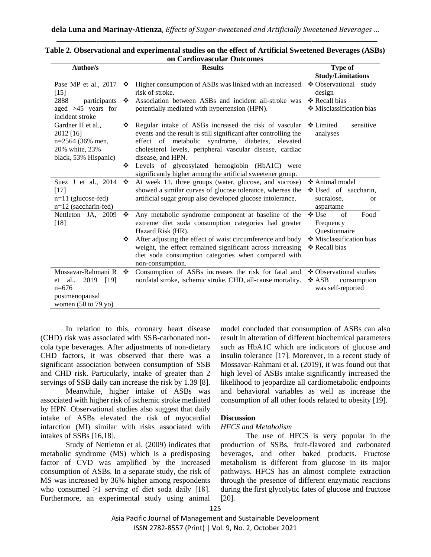| Author/s                                                                                            |   | <b>Results</b>                                                                                                                                                                                                                                                 | Type of                                                                      |
|-----------------------------------------------------------------------------------------------------|---|----------------------------------------------------------------------------------------------------------------------------------------------------------------------------------------------------------------------------------------------------------------|------------------------------------------------------------------------------|
|                                                                                                     |   |                                                                                                                                                                                                                                                                | <b>Study/Limitations</b>                                                     |
| Pase MP et al., 2017<br>$[15]$                                                                      | ❖ | Higher consumption of ASBs was linked with an increased<br>risk of stroke.                                                                                                                                                                                     | ❖ Observational study<br>design                                              |
| 2888<br>participants                                                                                | ❖ | Association between ASBs and incident all-stroke was                                                                                                                                                                                                           | ❖ Recall bias                                                                |
| aged $>45$ years for<br>incident stroke                                                             |   | potentially mediated with hypertension (HPN).                                                                                                                                                                                                                  | ❖ Misclassification bias                                                     |
| Gardner H et al.,<br>2012 [16]<br>n=2564 (36% men,<br>20% white, 23%<br>black, 53% Hispanic)        | ❖ | Regular intake of ASBs increased the risk of vascular<br>events and the result is still significant after controlling the<br>effect of metabolic syndrome, diabetes, elevated<br>cholesterol levels, peripheral vascular disease, cardiac<br>disease, and HPN. | ❖ Limited<br>sensitive<br>analyses                                           |
|                                                                                                     | ❖ | Levels of glycosylated hemoglobin (HbA1C) were<br>significantly higher among the artificial sweetener group.                                                                                                                                                   |                                                                              |
| Suez J et al., 2014<br>$[17]$<br>$n=11$ (glucose-fed)<br>$n=12$ (saccharin-fed)                     | ❖ | At week 11, three groups (water, glucose, and sucrose)<br>showed a similar curves of glucose tolerance, whereas the<br>artificial sugar group also developed glucose intolerance.                                                                              | ❖ Animal model<br>$\div$ Used of saccharin,<br>sucralose,<br>or<br>aspartame |
| Nettleton JA, 2009<br>$[18]$                                                                        | ❖ | Any metabolic syndrome component at baseline of the<br>extreme diet soda consumption categories had greater<br>Hazard Risk (HR).                                                                                                                               | ❖ Use<br>$\sigma$ f<br>Food<br>Frequency<br>Questionnaire                    |
|                                                                                                     | ❖ | After adjusting the effect of waist circumference and body<br>weight, the effect remained significant across increasing<br>diet soda consumption categories when compared with<br>non-consumption.                                                             | ❖ Misclassification bias<br>❖ Recall bias                                    |
| Mossavar-Rahmani R<br>2019<br>[19]<br>et al.,<br>$n=676$<br>postmenopausal<br>women $(50$ to 79 yo) | ❖ | Consumption of ASBs increases the risk for fatal and<br>nonfatal stroke, ischemic stroke, CHD, all-cause mortality.                                                                                                                                            | ❖ Observational studies<br>❖ ASB<br>consumption<br>was self-reported         |

#### **Table 2. Observational and experimental studies on the effect of Artificial Sweetened Beverages (ASBs) on Cardiovascular Outcomes**

In relation to this, coronary heart disease (CHD) risk was associated with SSB-carbonated noncola type beverages. After adjustments of non-dietary CHD factors, it was observed that there was a significant association between consumption of SSB and CHD risk. Particularly, intake of greater than 2 servings of SSB daily can increase the risk by 1.39 [8].

Meanwhile, higher intake of ASBs was associated with higher risk of ischemic stroke mediated by HPN. Observational studies also suggest that daily intake of ASBs elevated the risk of myocardial infarction (MI) similar with risks associated with intakes of SSBs [16,18].

Study of Nettleton et al. (2009) indicates that metabolic syndrome (MS) which is a predisposing factor of CVD was amplified by the increased consumption of ASBs. In a separate study, the risk of MS was increased by 36% higher among respondents who consumed  $\geq 1$  serving of diet soda daily [18]. Furthermore, an experimental study using animal

model concluded that consumption of ASBs can also result in alteration of different biochemical parameters such as HbA1C which are indicators of glucose and insulin tolerance [17]. Moreover, in a recent study of Mossavar-Rahmani et al. (2019), it was found out that high level of ASBs intake significantly increased the likelihood to jeopardize all cardiometabolic endpoints and behavioral variables as well as increase the consumption of all other foods related to obesity [19].

# **Discussion**

## *HFCS and Metabolism*

The use of HFCS is very popular in the production of SSBs, fruit-flavored and carbonated beverages, and other baked products. Fructose metabolism is different from glucose in its major pathways. HFCS has an almost complete extraction through the presence of different enzymatic reactions during the first glycolytic fates of glucose and fructose [20].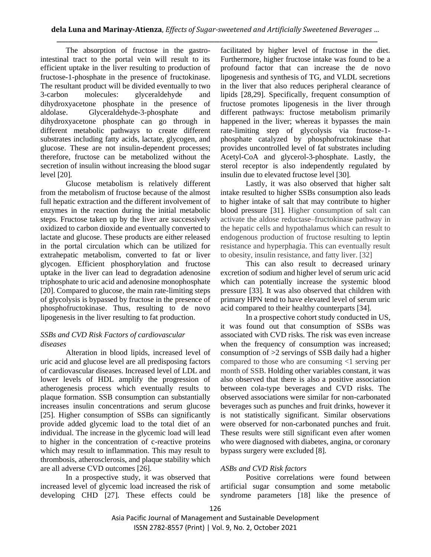The absorption of fructose in the gastrointestinal tract to the portal vein will result to its efficient uptake in the liver resulting to production of fructose-1-phosphate in the presence of fructokinase. The resultant product will be divided eventually to two 3-carbon molecules: glyceraldehyde and dihydroxyacetone phosphate in the presence of aldolase. Glyceraldehyde-3-phosphate and dihydroxyacetone phosphate can go through in different metabolic pathways to create different substrates including fatty acids, lactate, glycogen, and glucose. These are not insulin-dependent processes; therefore, fructose can be metabolized without the secretion of insulin without increasing the blood sugar level [20].

Glucose metabolism is relatively different from the metabolism of fructose because of the almost full hepatic extraction and the different involvement of enzymes in the reaction during the initial metabolic steps. Fructose taken up by the liver are successively oxidized to carbon dioxide and eventually converted to lactate and glucose. These products are either released in the portal circulation which can be utilized for extrahepatic metabolism, converted to fat or liver glycogen. Efficient phosphorylation and fructose uptake in the liver can lead to degradation adenosine triphosphate to uric acid and adenosine monophosphate [20]. Compared to glucose, the main rate-limiting steps of glycolysis is bypassed by fructose in the presence of phosphofructokinase. Thus, resulting to de novo lipogenesis in the liver resulting to fat production.

## *SSBs and CVD Risk Factors of cardiovascular diseases*

Alteration in blood lipids, increased level of uric acid and glucose level are all predisposing factors of cardiovascular diseases. Increased level of LDL and lower levels of HDL amplify the progression of atherogenesis process which eventually results to plaque formation. SSB consumption can substantially increases insulin concentrations and serum glucose [25]. Higher consumption of SSBs can significantly provide added glycemic load to the total diet of an individual. The increase in the glycemic load will lead to higher in the concentration of c-reactive proteins which may result to inflammation. This may result to thrombosis, atherosclerosis, and plaque stability which are all adverse CVD outcomes [26].

In a prospective study, it was observed that increased level of glycemic load increased the risk of developing CHD [27]. These effects could be

facilitated by higher level of fructose in the diet. Furthermore, higher fructose intake was found to be a profound factor that can increase the de novo lipogenesis and synthesis of TG, and VLDL secretions in the liver that also reduces peripheral clearance of lipids [28,29]. Specifically, frequent consumption of fructose promotes lipogenesis in the liver through different pathways: fructose metabolism primarily happened in the liver; whereas it bypasses the main rate-limiting step of glycolysis via fructose-1 phosphate catalyzed by phosphofructokinase that provides uncontrolled level of fat substrates including Acetyl-CoA and glycerol-3-phosphate. Lastly, the sterol receptor is also independently regulated by insulin due to elevated fructose level [30].

Lastly, it was also observed that higher salt intake resulted to higher SSBs consumption also leads to higher intake of salt that may contribute to higher blood pressure [31]. Higher consumption of salt can activate the aldose reductase–fructokinase pathway in the hepatic cells and hypothalamus which can result to endogenous production of fructose resulting to leptin resistance and hyperphagia. This can eventually result to obesity, insulin resistance, and fatty liver. [32]

This can also result to decreased urinary excretion of sodium and higher level of serum uric acid which can potentially increase the systemic blood pressure [33]. It was also observed that children with primary HPN tend to have elevated level of serum uric acid compared to their healthy counterparts [34].

In a prospective cohort study conducted in US, it was found out that consumption of SSBs was associated with CVD risks. The risk was even increase when the frequency of consumption was increased; consumption of  $>2$  servings of SSB daily had a higher compared to those who are consuming <1 serving per month of SSB. Holding other variables constant, it was also observed that there is also a positive association between cola-type beverages and CVD risks. The observed associations were similar for non-carbonated beverages such as punches and fruit drinks, however it is not statistically significant. Similar observations were observed for non-carbonated punches and fruit. These results were still significant even after women who were diagnosed with diabetes, angina, or coronary bypass surgery were excluded [8].

## *ASBs and CVD Risk factors*

Positive correlations were found between artificial sugar consumption and some metabolic syndrome parameters [18] like the presence of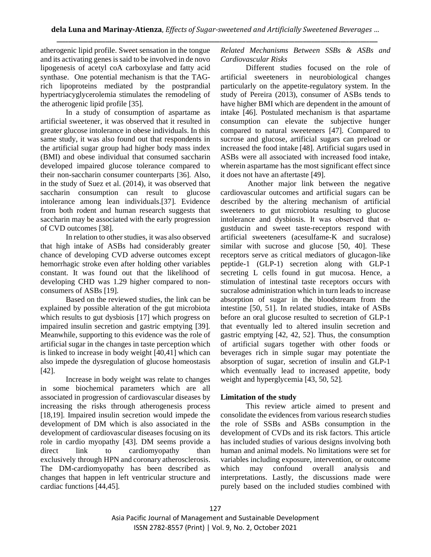atherogenic lipid profile. Sweet sensation in the tongue and its activating genes is said to be involved in de novo lipogenesis of acetyl coA carboxylase and fatty acid synthase. One potential mechanism is that the TAGrich lipoproteins mediated by the postprandial hypertriacyglycerolemia stimulates the remodeling of the atherogenic lipid profile [35].

In a study of consumption of aspartame as artificial sweetener, it was observed that it resulted in greater glucose intolerance in obese individuals. In this same study, it was also found out that respondents in the artificial sugar group had higher body mass index (BMI) and obese individual that consumed saccharin developed impaired glucose tolerance compared to their non-saccharin consumer counterparts [36]. Also, in the study of Suez et al. (2014), it was observed that saccharin consumption can result to glucose intolerance among lean individuals.[37]. Evidence from both rodent and human research suggests that saccharin may be associated with the early progression of CVD outcomes [38].

In relation to other studies, it was also observed that high intake of ASBs had considerably greater chance of developing CVD adverse outcomes except hemorrhagic stroke even after holding other variables constant. It was found out that the likelihood of developing CHD was 1.29 higher compared to nonconsumers of ASBs [19].

Based on the reviewed studies, the link can be explained by possible alteration of the gut microbiota which results to gut dysbiosis [17] which progress on impaired insulin secretion and gastric emptying [39]. Meanwhile, supporting to this evidence was the role of artificial sugar in the changes in taste perception which is linked to increase in body weight [40,41] which can also impede the dysregulation of glucose homeostasis [42].

Increase in body weight was relate to changes in some biochemical parameters which are all associated in progression of cardiovascular diseases by increasing the risks through atherogenesis process [18,19]. Impaired insulin secretion would impede the development of DM which is also associated in the development of cardiovascular diseases focusing on its role in cardio myopathy [43]. DM seems provide a direct link to cardiomyopathy than exclusively through HPN and coronary atherosclerosis. The DM-cardiomyopathy has been described as changes that happen in left ventricular structure and cardiac functions [44,45].

*Related Mechanisms Between SSBs & ASBs and Cardiovascular Risks*

Different studies focused on the role of artificial sweeteners in neurobiological changes particularly on the appetite-regulatory system. In the study of Pereira (2013), consumer of ASBs tends to have higher BMI which are dependent in the amount of intake [46]. Postulated mechanism is that aspartame consumption can elevate the subjective hunger compared to natural sweeteners [47]. Compared to sucrose and glucose, artificial sugars can preload or increased the food intake [48]. Artificial sugars used in ASBs were all associated with increased food intake, wherein aspartame has the most significant effect since it does not have an aftertaste [49].

Another major link between the negative cardiovascular outcomes and artificial sugars can be described by the altering mechanism of artificial sweeteners to gut microbiota resulting to glucose intolerance and dysbiosis. It was observed that  $\alpha$ gustducin and sweet taste-receptors respond with artificial sweeteners (acesulfame-K and sucralose) similar with sucrose and glucose [50, 40]. These receptors serve as critical mediators of glucagon-like peptide-1 (GLP-1) secretion along with GLP-1 secreting L cells found in gut mucosa. Hence, a stimulation of intestinal taste receptors occurs with sucralose administration which in turn leads to increase absorption of sugar in the bloodstream from the intestine [50, 51]. In related studies, intake of ASBs before an oral glucose resulted to secretion of GLP-1 that eventually led to altered insulin secretion and gastric emptying [42, 42, 52]. Thus, the consumption of artificial sugars together with other foods or beverages rich in simple sugar may potentiate the absorption of sugar, secretion of insulin and GLP-1 which eventually lead to increased appetite, body weight and hyperglycemia [43, 50, 52].

## **Limitation of the study**

This review article aimed to present and consolidate the evidences from various research studies the role of SSBs and ASBs consumption in the development of CVDs and its risk factors. This article has included studies of various designs involving both human and animal models. No limitations were set for variables including exposure, intervention, or outcome which may confound overall analysis and interpretations. Lastly, the discussions made were purely based on the included studies combined with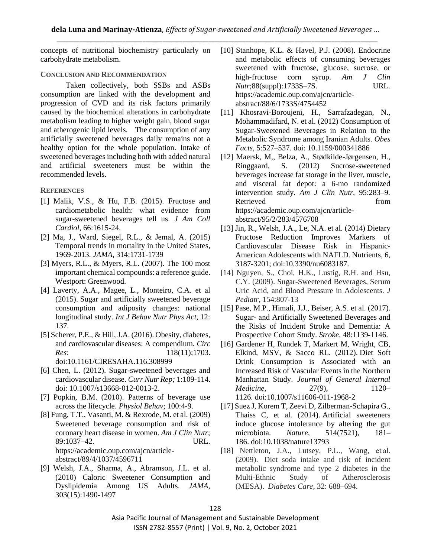concepts of nutritional biochemistry particularly on carbohydrate metabolism.

#### **CONCLUSION AND RECOMMENDATION**

Taken collectively, both SSBs and ASBs consumption are linked with the development and progression of CVD and its risk factors primarily caused by the biochemical alterations in carbohydrate metabolism leading to higher weight gain, blood sugar and atherogenic lipid levels. The consumption of any artificially sweetened beverages daily remains not a healthy option for the whole population. Intake of sweetened beverages including both with added natural and artificial sweeteners must be within the recommended levels.

#### **REFERENCES**

- [1] Malik, V.S., & Hu, F.B. (2015). Fructose and cardiometabolic health: what evidence from sugar-sweetened beverages tell us. *J Am Coll Cardiol*, 66:1615-24.
- [2] Ma, J., Ward, Siegel, R.L., & Jemal, A. (2015) Temporal trends in mortality in the United States, 1969-2013. *JAMA*, 314:1731-1739
- [3] Myers, R.L., & Myers, R.L. (2007). The 100 most important chemical compounds: a reference guide. Westport: Greenwood.
- [4] Laverty, A.A., Magee, L., Monteiro, C.A. et al (2015). Sugar and artificially sweetened beverage consumption and adiposity changes: national longitudinal study. *Int J Behav Nutr Phys Act,* 12: 137.
- [5] Scherer, P.E., & Hill, J.A. (2016). Obesity, diabetes, and cardiovascular diseases: A compendium. *Circ Res*: 118(11);1703. doi:10.1161/CIRESAHA.116.308999
- [6] Chen, L. (2012). Sugar-sweetened beverages and cardiovascular disease. *Curr Nutr Rep;* 1:109-114. doi: 10.1007/s13668-012-0013-2.
- [7] Popkin, B.M. (2010). Patterns of beverage use across the lifecycle. *Physiol Behav*; 100:4-9.
- [8] Fung, T.T., Vasanti, M. & Rexrode, M. et al. (2009) Sweetened beverage consumption and risk of coronary heart disease in women. *Am J Clin Nutr*; 89:1037–42. URL. https://academic.oup.com/ajcn/articleabstract/89/4/1037/4596711
- [9] Welsh, J.A., Sharma, A., Abramson, J.L. et al. (2010) Caloric Sweetener Consumption and Dyslipidemia Among US Adults. *JAMA*, 303(15):1490-1497
- [10] Stanhope, K.L. & Havel, P.J. (2008)*.* Endocrine and metabolic effects of consuming beverages sweetened with fructose, glucose, sucrose, or high-fructose corn syrup. *Am J Clin Nutr*;88(suppl):1733S–7S. URL. https://academic.oup.com/ajcn/articleabstract/88/6/1733S/4754452
- [11] Khosravi-Boroujeni, H., Sarrafzadegan, N., Mohammadifard, N. et al. (2012) Consumption of Sugar-Sweetened Beverages in Relation to the Metabolic Syndrome among Iranian Adults. *Obes Facts*, 5:527–537. doi: 10.1159/000341886
- [12] Maersk, M,, Belza, A., Stødkilde-Jørgensen, H., Ringgaard, S. (2012) Sucrose-sweetened beverages increase fat storage in the liver, muscle, and visceral fat depot: a 6-mo randomized intervention study. *Am J Clin Nutr,* 95:283–9. Retrieved from the settlement of the settlement of the settlement of the settlement of the settlement of the settlement of the settlement of the settlement of the settlement of the settlement of the settlement of the settl https://academic.oup.com/ajcn/articleabstract/95/2/283/4576708
- [13] Jin, R., Welsh, J.A., Le, N.A. et al. (2014) Dietary Fructose Reduction Improves Markers of Cardiovascular Disease Risk in Hispanic-American Adolescents with NAFLD. Nutrients, 6, 3187-3201; doi:10.3390/nu6083187.
- [14] Nguyen, S., Choi, H.K., Lustig, R.H. and Hsu, C.Y. (2009). Sugar-Sweetened Beverages, Serum Uric Acid, and Blood Pressure in Adolescents. *J Pediatr*, 154:807-13
- [15] Pase, M.P., Himali, J.J., Beiser, A.S. et al. (2017). Sugar- and Artificially Sweetened Beverages and the Risks of Incident Stroke and Dementia: A Prospective Cohort Study. *Stroke*, 48:1139-1146.
- [16] Gardener H, Rundek T, Markert M, Wright, CB, Elkind, MSV, & Sacco RL. (2012). Diet Soft Drink Consumption is Associated with an Increased Risk of Vascular Events in the Northern Manhattan Study. *Journal of General Internal Medicine*, 27(9), 1120– 1126. doi:10.1007/s11606-011-1968-2
- [17] Suez J, Korem T, Zeevi D, Zilberman-Schapira G., Thaiss C, et al. (2014). Artificial sweeteners induce glucose intolerance by altering the gut microbiota. *Nature*, 514(7521), 181– 186. doi:10.1038/nature13793
- [18] Nettleton, J.A., Lutsey, P.L., Wang, et al. (2009). Diet soda intake and risk of incident metabolic syndrome and type 2 diabetes in the Multi-Ethnic Study of Atherosclerosis (MESA). *Diabetes Care*, 32: 688–694.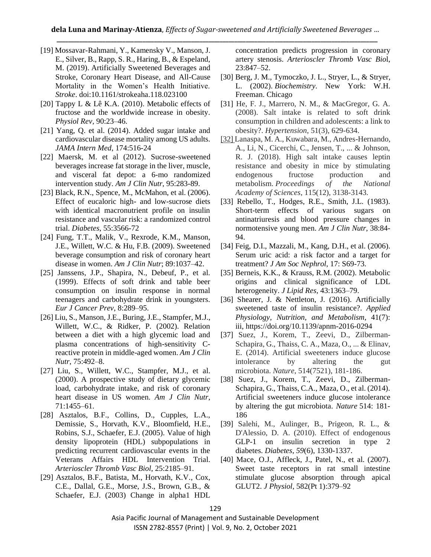- [19] Mossavar-Rahmani, Y., Kamensky V., Manson, J. E., Silver, B., Rapp, S. R., Haring, B., & Espeland, M. (2019). Artificially Sweetened Beverages and Stroke, Coronary Heart Disease, and All-Cause Mortality in the Women's Health Initiative. *Stroke*. doi:10.1161/strokeaha.118.023100
- [20] Tappy L & Lê K.A.  $(2010)$ . Metabolic effects of fructose and the worldwide increase in obesity. *Physiol Rev,* 90:23–46.
- [21] Yang, Q. et al. (2014). Added sugar intake and cardiovascular disease mortality among US adults. *JAMA Intern Med*, 174:516-24
- [22] Maersk, M. et al (2012). Sucrose-sweetened beverages increase fat storage in the liver, muscle, and visceral fat depot: a 6-mo randomized intervention study. *Am J Clin Nutr,* 95:283-89.
- [23] Black, R.N., Spence, M., McMahon, et al. (2006). Effect of eucaloric high- and low-sucrose diets with identical macronutrient profile on insulin resistance and vascular risk: a randomized control trial. *Diabetes*, 55:3566-72
- [24] Fung, T.T., Malik, V., Rexrode, K.M., Manson, J.E., Willett, W.C. & Hu, F.B. (2009). Sweetened beverage consumption and risk of coronary heart disease in women. *Am J Clin Nutr*; 89:1037–42.
- [25] Janssens, J.P., Shapira, N., Debeuf, P., et al. (1999). Effects of soft drink and table beer consumption on insulin response in normal teenagers and carbohydrate drink in youngsters. *Eur J Cancer Prev*, 8:289–95.
- [26] Liu, S., Manson, J.E., Buring, J.E., Stampfer, M.J., Willett, W.C., & Ridker, P. (2002). Relation between a diet with a high glycemic load and plasma concentrations of high-sensitivity Creactive protein in middle-aged women. *Am J Clin Nutr*, 75:492–8.
- [27] Liu, S., Willett, W.C., Stampfer, M.J., et al. (2000). A prospective study of dietary glycemic load, carbohydrate intake, and risk of coronary heart disease in US women. *Am J Clin Nutr*, 71:1455–61.
- [28] Asztalos, B.F., Collins, D., Cupples, L.A., Demissie, S., Horvath, K.V., Bloomfield, H.E., Robins, S.J., Schaefer, E.J. (2005). Value of high density lipoprotein (HDL) subpopulations in predicting recurrent cardiovascular events in the Veterans Affairs HDL Intervention Trial. *Arterioscler Thromb Vasc Biol*, 25:2185–91.
- [29] Asztalos, B.F., Batista, M., Horvath, K.V., Cox, C.E., Dallal, G.E., Morse, J.S., Brown, G.B., & Schaefer, E.J. (2003) Change in alpha1 HDL

concentration predicts progression in coronary artery stenosis. *Arterioscler Thromb Vasc Bio*l, 23:847–52.

- [30] Berg, J. M., Tymoczko, J. L., Stryer, L., & Stryer, L. (2002). *Biochemistry.* New York: W.H. Freeman. Chicago
- [31] He, F. J., Marrero, N. M., & MacGregor, G. A. (2008). Salt intake is related to soft drink consumption in children and adolescents: a link to obesity?. *Hypertension*, 51(3), 629-634.
- [32] Lanaspa, M. A., Kuwabara, M., Andres-Hernando, A., Li, N., Cicerchi, C., Jensen, T., ... & Johnson, R. J. (2018). High salt intake causes leptin resistance and obesity in mice by stimulating endogenous fructose production and metabolism. *Proceedings of the National Academy of Sciences*, 115(12), 3138-3143.
- [33] Rebello, T., Hodges, R.E., Smith, J.L. (1983). Short-term effects of various sugars on antinatriuresis and blood pressure changes in normotensive young men. *Am J Clin Nutr,* 38:84- 94.
- [34] Feig, D.I., Mazzali, M., Kang, D.H., et al. (2006). Serum uric acid: a risk factor and a target for treatment? *J Am Soc Nephrol*, 17: S69-73.
- [35] Berneis, K.K., & Krauss, R.M. (2002). Metabolic origins and clinical significance of LDL heterogeneity. *J Lipid Res,* 43:1363–79.
- [36] Shearer, J. & Nettleton, J. (2016). Artificially sweetened taste of insulin resistance?. *Applied Physiology, Nutrition, and Metabolism*, 41(7): iii, https://doi.org/10.1139/apnm-2016-0294
- [37] Suez, J., Korem, T., Zeevi, D., Zilberman-Schapira, G., Thaiss, C. A., Maza, O., ... & Elinav, E. (2014). Artificial sweeteners induce glucose intolerance by altering the gut microbiota. *Nature*, 514(7521), 181-186.
- [38] Suez, J., Korem, T., Zeevi, D., Zilberman-Schapira, G., Thaiss, C.A., Maza, O., et al. (2014). Artificial sweeteners induce glucose intolerance by altering the gut microbiota. *Nature* 514: 181- 186
- [39] Salehi, M., Aulinger, B., Prigeon, R. L., & D'Alessio, D. A. (2010). Effect of endogenous GLP-1 on insulin secretion in type 2 diabetes. *Diabetes*, *59*(6), 1330-1337.
- [40] Mace, O.J., Affleck, J., Patel, N., et al. (2007). Sweet taste receptors in rat small intestine stimulate glucose absorption through apical GLUT2. *J Physiol*, 582(Pt 1):379–92